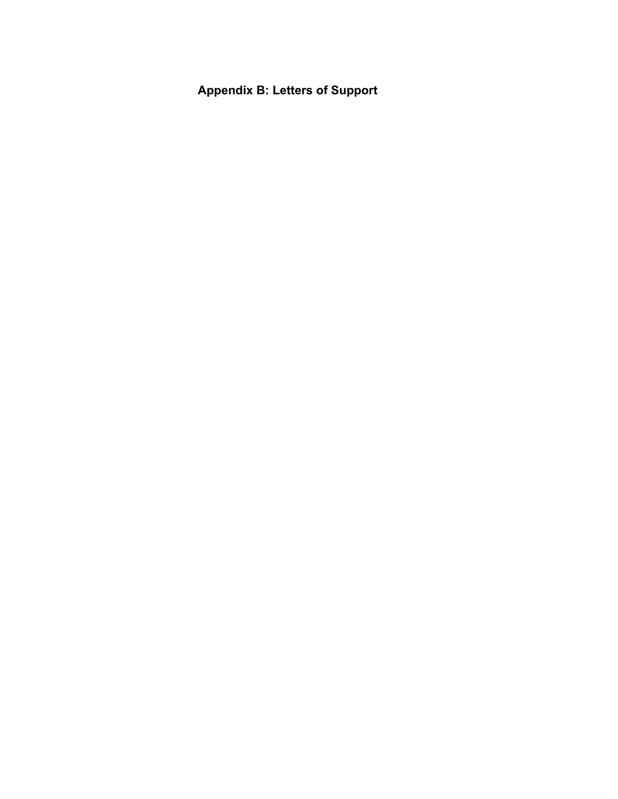## **Appendix B: Letters of Support**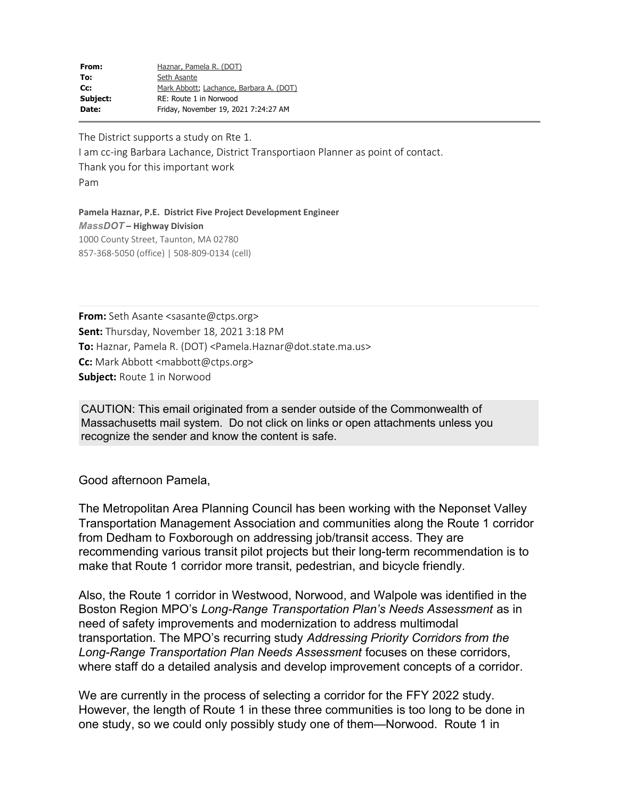| From:    | Haznar, Pamela R. (DOT)                 |
|----------|-----------------------------------------|
| To:      | Seth Asante                             |
| Cc:      | Mark Abbott; Lachance, Barbara A. (DOT) |
| Subject: | RE: Route 1 in Norwood                  |
| Date:    | Friday, November 19, 2021 7:24:27 AM    |
|          |                                         |

The District supports a study on Rte 1. I am cc-ing Barbara Lachance, District Transportiaon Planner as point of contact. Thank you for this important work Pam

Pamela Haznar, P.E. District Five Project Development Engineer MassDOT – Highway Division 1000 County Street, Taunton, MA 02780 857-368-5050 (office) | 508-809-0134 (cell)

From: Seth Asante <sasante@ctps.org> Sent: Thursday, November 18, 2021 3:18 PM To: Haznar, Pamela R. (DOT) <Pamela.Haznar@dot.state.ma.us> Cc: Mark Abbott <mabbott@ctps.org> Subject: Route 1 in Norwood

CAUTION: This email originated from a sender outside of the Commonwealth of Massachusetts mail system. Do not click on links or open attachments unless you recognize the sender and know the content is safe.

## Good afternoon Pamela,

The Metropolitan Area Planning Council has been working with the Neponset Valley Transportation Management Association and communities along the Route 1 corridor from Dedham to Foxborough on addressing job/transit access. They are recommending various transit pilot projects but their long-term recommendation is to make that Route 1 corridor more transit, pedestrian, and bicycle friendly.

Also, the Route 1 corridor in Westwood, Norwood, and Walpole was identified in the Boston Region MPO's Long-Range Transportation Plan's Needs Assessment as in need of safety improvements and modernization to address multimodal transportation. The MPO's recurring study Addressing Priority Corridors from the Long-Range Transportation Plan Needs Assessment focuses on these corridors, where staff do a detailed analysis and develop improvement concepts of a corridor.

We are currently in the process of selecting a corridor for the FFY 2022 study. However, the length of Route 1 in these three communities is too long to be done in one study, so we could only possibly study one of them—Norwood. Route 1 in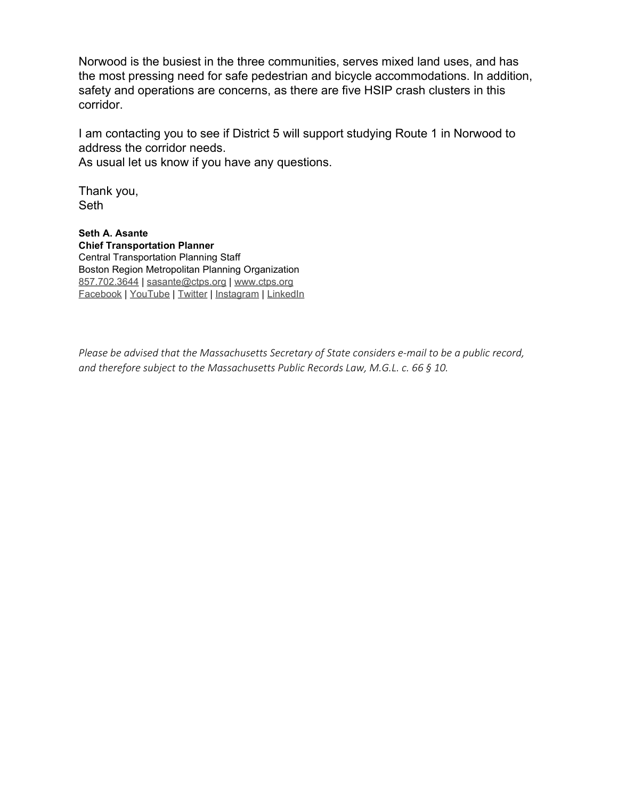Norwood is the busiest in the three communities, serves mixed land uses, and has the most pressing need for safe pedestrian and bicycle accommodations. In addition, safety and operations are concerns, as there are five HSIP crash clusters in this corridor.

I am contacting you to see if District 5 will support studying Route 1 in Norwood to address the corridor needs.

As usual let us know if you have any questions.

Thank you, Seth

Seth A. Asante Chief Transportation Planner Central Transportation Planning Staff Boston Region Metropolitan Planning Organization 857.702.3644 | sasante@ctps.org | www.ctps.org Facebook | YouTube | Twitter | Instagram | LinkedIn

Please be advised that the Massachusetts Secretary of State considers e-mail to be a public record, and therefore subject to the Massachusetts Public Records Law, M.G.L. c. 66 § 10.